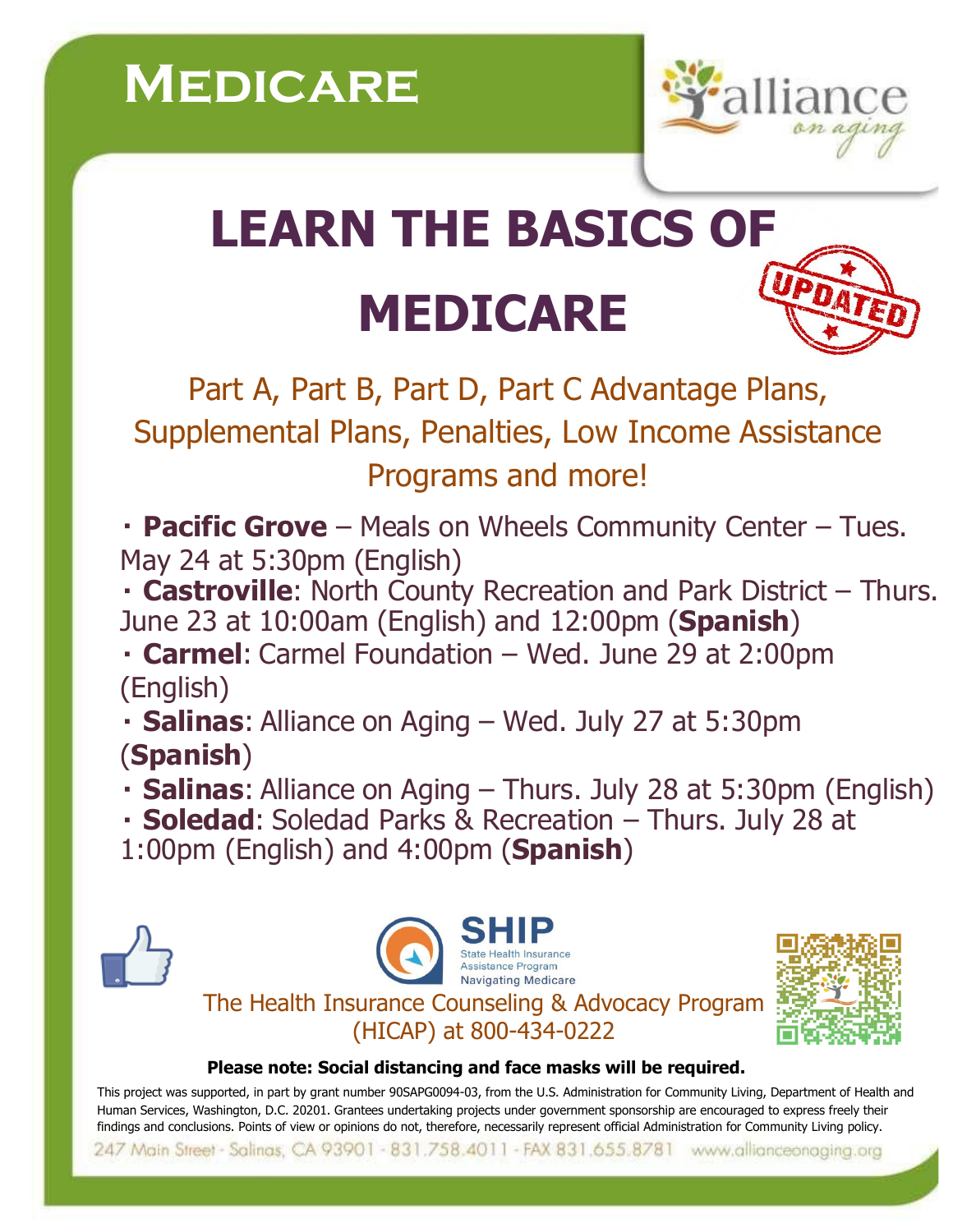

## **LEARN THE BASICS OF MEDICARE**

Part A, Part B, Part D, Part C Advantage Plans, Supplemental Plans, Penalties, Low Income Assistance Programs and more!

**Pacific Grove** – Meals on Wheels Community Center – Tues. May 24 at 5:30pm (English)

**Castroville**: North County Recreation and Park District – Thurs. June 23 at 10:00am (English) and 12:00pm (**Spanish**)

**Carmel**: Carmel Foundation – Wed. June 29 at 2:00pm (English)

**Salinas**: Alliance on Aging – Wed. July 27 at 5:30pm (**Spanish**)

**Salinas**: Alliance on Aging – Thurs. July 28 at 5:30pm (English)

**Soledad**: Soledad Parks & Recreation – Thurs. July 28 at

1:00pm (English) and 4:00pm (**Spanish**)







## **Please note: Social distancing and face masks will be required.**

This project was supported, in part by grant number 90SAPG0094-03, from the U.S. Administration for Community Living, Department of Health and Human Services, Washington, D.C. 20201. Grantees undertaking projects under government sponsorship are encouraged to express freely their findings and conclusions. Points of view or opinions do not, therefore, necessarily represent official Administration for Community Living policy.

247 Main Street - Salinas, CA 93901 - 831.758.4011 - FAX 831.655.8781 www.allianceonaging.org